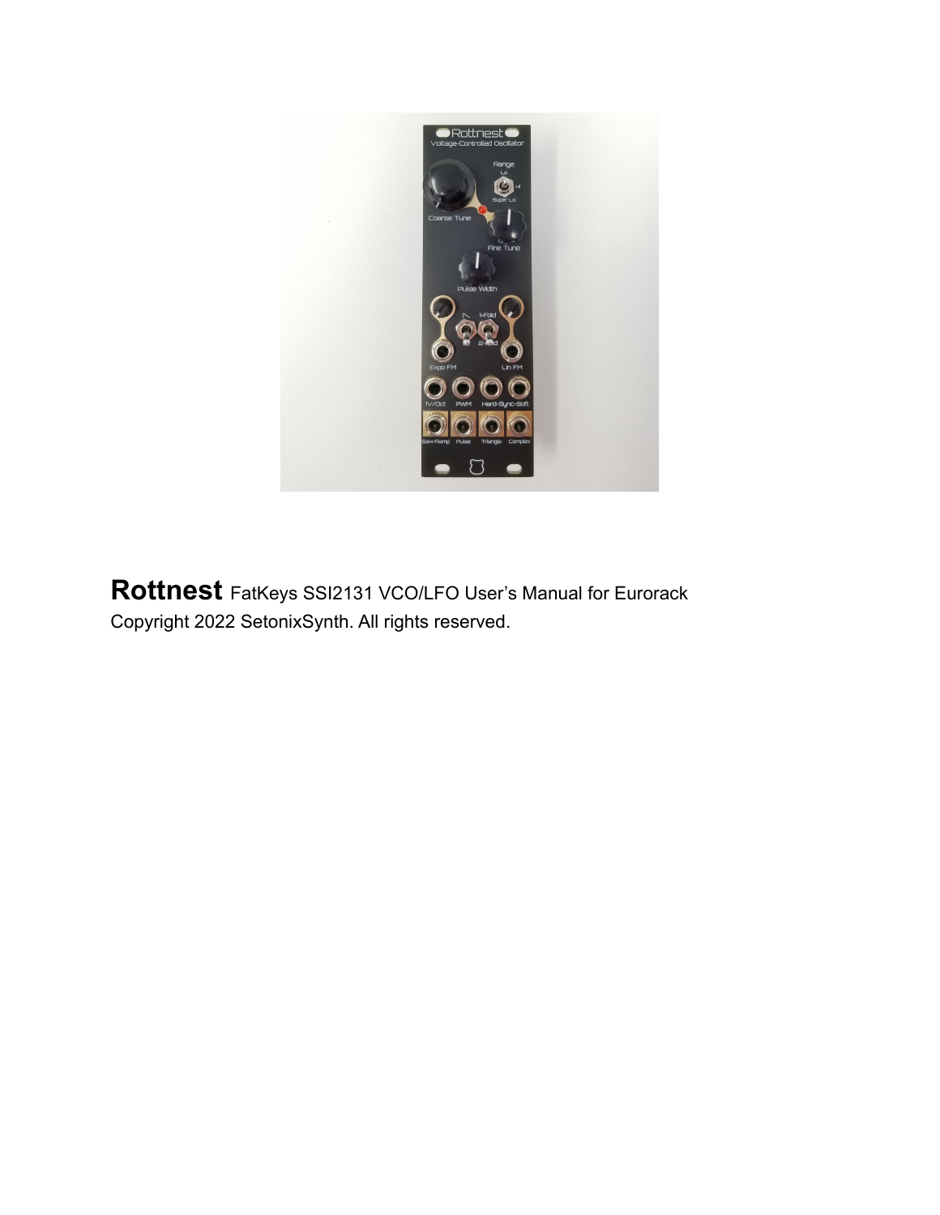

**Rottnest** FatKeys SSI2131 VCO/LFO User's Manual for Eurorack Copyright 2022 SetonixSynth. All rights reserved.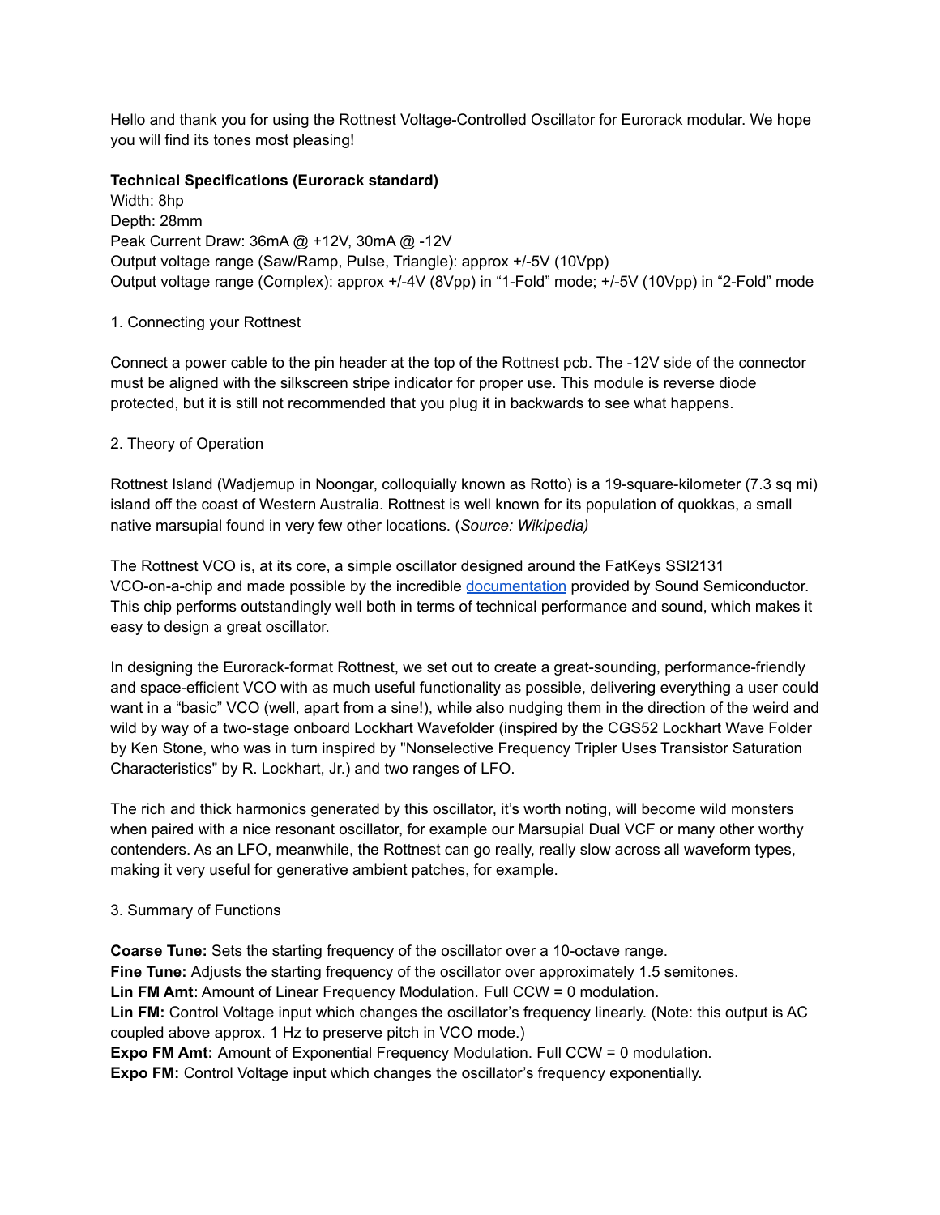Hello and thank you for using the Rottnest Voltage-Controlled Oscillator for Eurorack modular. We hope you will find its tones most pleasing!

## **Technical Specifications (Eurorack standard)**

Width: 8hp Depth: 28mm Peak Current Draw: 36mA @ +12V, 30mA @ -12V Output voltage range (Saw/Ramp, Pulse, Triangle): approx +/-5V (10Vpp) Output voltage range (Complex): approx +/-4V (8Vpp) in "1-Fold" mode; +/-5V (10Vpp) in "2-Fold" mode

# 1. Connecting your Rottnest

Connect a power cable to the pin header at the top of the Rottnest pcb. The -12V side of the connector must be aligned with the silkscreen stripe indicator for proper use. This module is reverse diode protected, but it is still not recommended that you plug it in backwards to see what happens.

## 2. Theory of Operation

Rottnest Island (Wadjemup in Noongar, colloquially known as Rotto) is a 19-square-kilometer (7.3 sq mi) island off the coast of Western Australia. Rottnest is well known for its population of quokkas, a small native marsupial found in very few other locations. (*Source: Wikipedia)*

The Rottnest VCO is, at its core, a simple oscillator designed around the FatKeys SSI2131 VCO-on-a-chip and made possible by the incredible [documentation](http://www.soundsemiconductor.com/downloads/ssi2131datasheet.pdf) provided by Sound Semiconductor. This chip performs outstandingly well both in terms of technical performance and sound, which makes it easy to design a great oscillator.

In designing the Eurorack-format Rottnest, we set out to create a great-sounding, performance-friendly and space-efficient VCO with as much useful functionality as possible, delivering everything a user could want in a "basic" VCO (well, apart from a sine!), while also nudging them in the direction of the weird and wild by way of a two-stage onboard Lockhart Wavefolder (inspired by the CGS52 Lockhart Wave Folder by Ken Stone, who was in turn inspired by "Nonselective Frequency Tripler Uses Transistor Saturation Characteristics" by R. Lockhart, Jr.) and two ranges of LFO.

The rich and thick harmonics generated by this oscillator, it's worth noting, will become wild monsters when paired with a nice resonant oscillator, for example our Marsupial Dual VCF or many other worthy contenders. As an LFO, meanwhile, the Rottnest can go really, really slow across all waveform types, making it very useful for generative ambient patches, for example.

# 3. Summary of Functions

**Coarse Tune:** Sets the starting frequency of the oscillator over a 10-octave range. **Fine Tune:** Adjusts the starting frequency of the oscillator over approximately 1.5 semitones. **Lin FM Amt**: Amount of Linear Frequency Modulation. Full CCW = 0 modulation. **Lin FM:** Control Voltage input which changes the oscillator's frequency linearly. (Note: this output is AC coupled above approx. 1 Hz to preserve pitch in VCO mode.) **Expo FM Amt:** Amount of Exponential Frequency Modulation. Full CCW = 0 modulation. **Expo FM:** Control Voltage input which changes the oscillator's frequency exponentially.